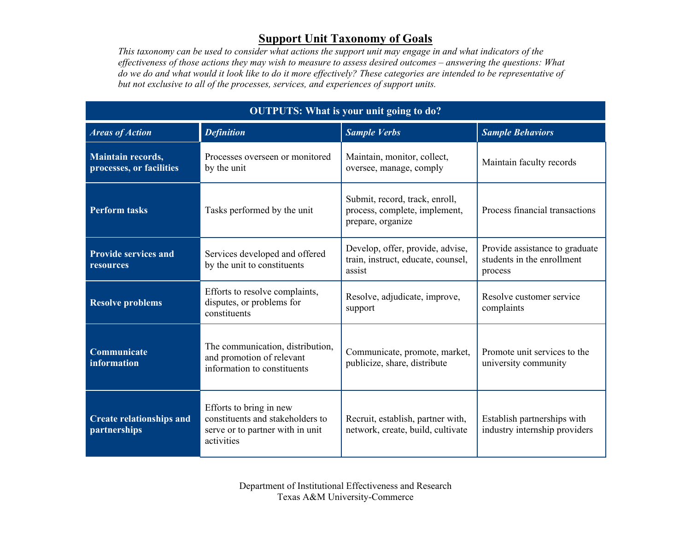## **Support Unit Taxonomy of Goals**

*This taxonomy can be used to consider what actions the support unit may engage in and what indicators of the effectiveness of those actions they may wish to measure to assess desired outcomes – answering the questions: What do we do and what would it look like to do it more effectively? These categories are intended to be representative of but not exclusive to all of the processes, services, and experiences of support units.*

| <b>OUTPUTS: What is your unit going to do?</b>  |                                                                                                               |                                                                                      |                                                                         |  |
|-------------------------------------------------|---------------------------------------------------------------------------------------------------------------|--------------------------------------------------------------------------------------|-------------------------------------------------------------------------|--|
| <b>Areas of Action</b>                          | <b>Definition</b>                                                                                             | <b>Sample Verbs</b>                                                                  | <b>Sample Behaviors</b>                                                 |  |
| Maintain records,<br>processes, or facilities   | Processes overseen or monitored<br>by the unit                                                                | Maintain, monitor, collect,<br>oversee, manage, comply                               | Maintain faculty records                                                |  |
| <b>Perform tasks</b>                            | Tasks performed by the unit                                                                                   | Submit, record, track, enroll,<br>process, complete, implement,<br>prepare, organize | Process financial transactions                                          |  |
| <b>Provide services and</b><br>resources        | Services developed and offered<br>by the unit to constituents                                                 | Develop, offer, provide, advise,<br>train, instruct, educate, counsel,<br>assist     | Provide assistance to graduate<br>students in the enrollment<br>process |  |
| <b>Resolve problems</b>                         | Efforts to resolve complaints,<br>disputes, or problems for<br>constituents                                   | Resolve, adjudicate, improve,<br>support                                             | Resolve customer service<br>complaints                                  |  |
| Communicate<br>information                      | The communication, distribution,<br>and promotion of relevant<br>information to constituents                  | Communicate, promote, market,<br>publicize, share, distribute                        | Promote unit services to the<br>university community                    |  |
| <b>Create relationships and</b><br>partnerships | Efforts to bring in new<br>constituents and stakeholders to<br>serve or to partner with in unit<br>activities | Recruit, establish, partner with,<br>network, create, build, cultivate               | Establish partnerships with<br>industry internship providers            |  |